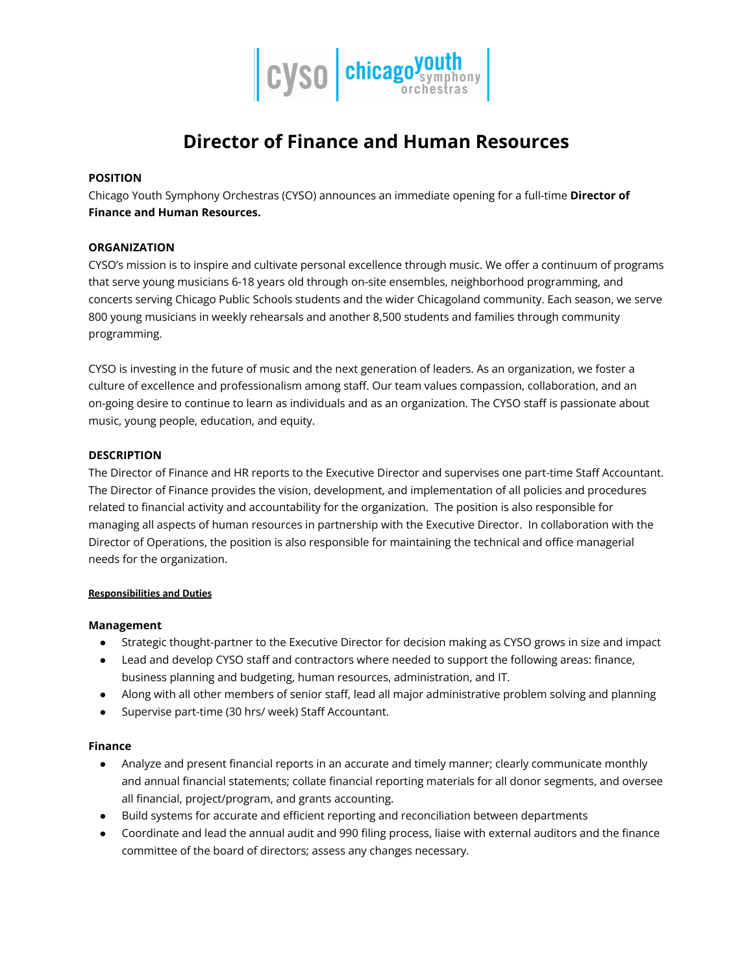

# **Director of Finance and Human Resources**

## **POSITION**

Chicago Youth Symphony Orchestras (CYSO) announces an immediate opening for a full-time **Director of Finance and Human Resources.**

## **ORGANIZATION**

CYSO's mission is to inspire and cultivate personal excellence through music. We offer a continuum of programs that serve young musicians 6-18 years old through on-site ensembles, neighborhood programming, and concerts serving Chicago Public Schools students and the wider Chicagoland community. Each season, we serve 800 young musicians in weekly rehearsals and another 8,500 students and families through community programming.

CYSO is investing in the future of music and the next generation of leaders. As an organization, we foster a culture of excellence and professionalism among staff. Our team values compassion, collaboration, and an on-going desire to continue to learn as individuals and as an organization. The CYSO staff is passionate about music, young people, education, and equity.

## **DESCRIPTION**

The Director of Finance and HR reports to the Executive Director and supervises one part-time Staff Accountant. The Director of Finance provides the vision, development, and implementation of all policies and procedures related to financial activity and accountability for the organization. The position is also responsible for managing all aspects of human resources in partnership with the Executive Director. In collaboration with the Director of Operations, the position is also responsible for maintaining the technical and office managerial needs for the organization.

## **Responsibilities and Duties**

## **Management**

- Strategic thought-partner to the Executive Director for decision making as CYSO grows in size and impact
- Lead and develop CYSO staff and contractors where needed to support the following areas: finance, business planning and budgeting, human resources, administration, and IT.
- Along with all other members of senior staff, lead all major administrative problem solving and planning
- Supervise part-time (30 hrs/ week) Staff Accountant.

# **Finance**

- Analyze and present financial reports in an accurate and timely manner; clearly communicate monthly and annual financial statements; collate financial reporting materials for all donor segments, and oversee all financial, project/program, and grants accounting.
- Build systems for accurate and efficient reporting and reconciliation between departments
- Coordinate and lead the annual audit and 990 filing process, liaise with external auditors and the finance committee of the board of directors; assess any changes necessary.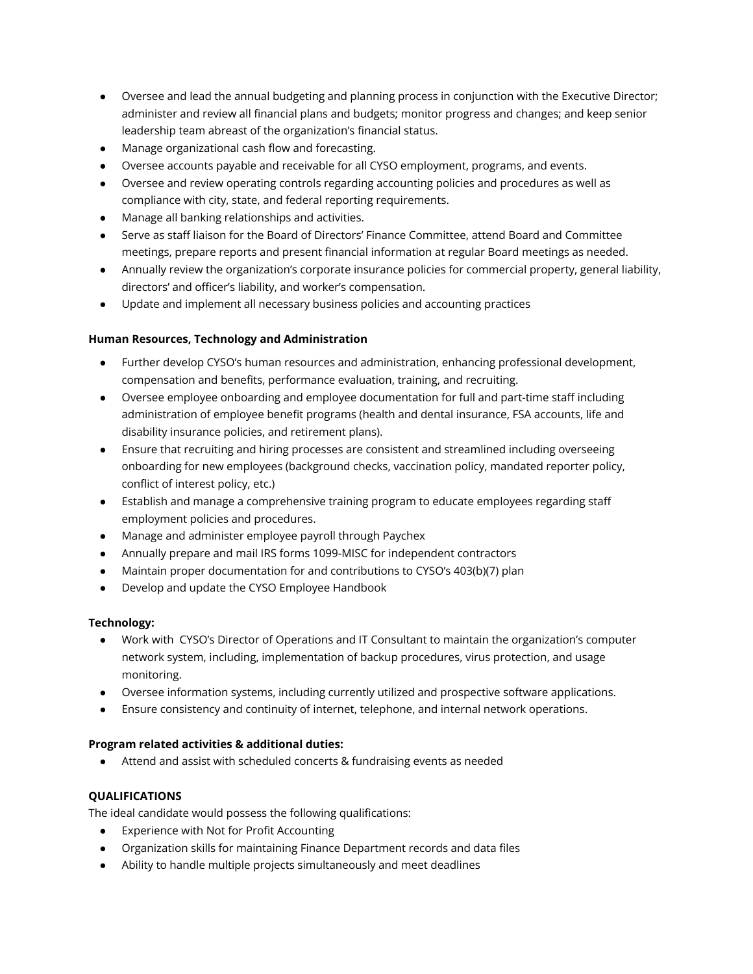- Oversee and lead the annual budgeting and planning process in conjunction with the Executive Director; administer and review all financial plans and budgets; monitor progress and changes; and keep senior leadership team abreast of the organization's financial status.
- Manage organizational cash flow and forecasting.
- Oversee accounts payable and receivable for all CYSO employment, programs, and events.
- Oversee and review operating controls regarding accounting policies and procedures as well as compliance with city, state, and federal reporting requirements.
- Manage all banking relationships and activities.
- Serve as staff liaison for the Board of Directors' Finance Committee, attend Board and Committee meetings, prepare reports and present financial information at regular Board meetings as needed.
- Annually review the organization's corporate insurance policies for commercial property, general liability, directors' and officer's liability, and worker's compensation.
- Update and implement all necessary business policies and accounting practices

# **Human Resources, Technology and Administration**

- Further develop CYSO's human resources and administration, enhancing professional development, compensation and benefits, performance evaluation, training, and recruiting.
- Oversee employee onboarding and employee documentation for full and part-time staff including administration of employee benefit programs (health and dental insurance, FSA accounts, life and disability insurance policies, and retirement plans).
- Ensure that recruiting and hiring processes are consistent and streamlined including overseeing onboarding for new employees (background checks, vaccination policy, mandated reporter policy, conflict of interest policy, etc.)
- Establish and manage a comprehensive training program to educate employees regarding staff employment policies and procedures.
- Manage and administer employee payroll through Paychex
- Annually prepare and mail IRS forms 1099-MISC for independent contractors
- Maintain proper documentation for and contributions to CYSO's 403(b)(7) plan
- Develop and update the CYSO Employee Handbook

# **Technology:**

- Work with CYSO's Director of Operations and IT Consultant to maintain the organization's computer network system, including, implementation of backup procedures, virus protection, and usage monitoring.
- Oversee information systems, including currently utilized and prospective software applications.
- Ensure consistency and continuity of internet, telephone, and internal network operations.

# **Program related activities & additional duties:**

● Attend and assist with scheduled concerts & fundraising events as needed

# **QUALIFICATIONS**

The ideal candidate would possess the following qualifications:

- Experience with Not for Profit Accounting
- Organization skills for maintaining Finance Department records and data files
- Ability to handle multiple projects simultaneously and meet deadlines